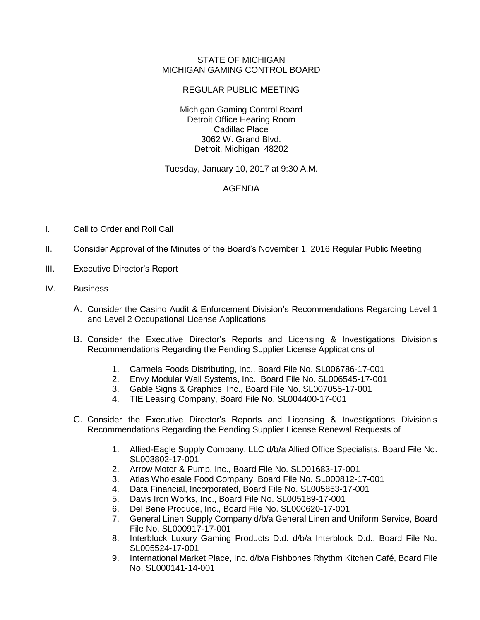## STATE OF MICHIGAN MICHIGAN GAMING CONTROL BOARD

## REGULAR PUBLIC MEETING

Michigan Gaming Control Board Detroit Office Hearing Room Cadillac Place 3062 W. Grand Blvd. Detroit, Michigan 48202

Tuesday, January 10, 2017 at 9:30 A.M.

## AGENDA

- I. Call to Order and Roll Call
- II. Consider Approval of the Minutes of the Board's November 1, 2016 Regular Public Meeting
- III. Executive Director's Report
- IV. Business
	- A. Consider the Casino Audit & Enforcement Division's Recommendations Regarding Level 1 and Level 2 Occupational License Applications
	- B. Consider the Executive Director's Reports and Licensing & Investigations Division's Recommendations Regarding the Pending Supplier License Applications of
		- 1. Carmela Foods Distributing, Inc., Board File No. SL006786-17-001
		- 2. Envy Modular Wall Systems, Inc., Board File No. SL006545-17-001
		- 3. Gable Signs & Graphics, Inc., Board File No. SL007055-17-001
		- 4. TIE Leasing Company, Board File No. SL004400-17-001
	- C. Consider the Executive Director's Reports and Licensing & Investigations Division's Recommendations Regarding the Pending Supplier License Renewal Requests of
		- 1. Allied-Eagle Supply Company, LLC d/b/a Allied Office Specialists, Board File No. SL003802-17-001
		- 2. Arrow Motor & Pump, Inc., Board File No. SL001683-17-001
		- 3. Atlas Wholesale Food Company, Board File No. SL000812-17-001
		- 4. Data Financial, Incorporated, Board File No. SL005853-17-001
		- 5. Davis Iron Works, Inc., Board File No. SL005189-17-001
		- 6. Del Bene Produce, Inc., Board File No. SL000620-17-001
		- 7. General Linen Supply Company d/b/a General Linen and Uniform Service, Board File No. SL000917-17-001
		- 8. Interblock Luxury Gaming Products D.d. d/b/a Interblock D.d., Board File No. SL005524-17-001
		- 9. International Market Place, Inc. d/b/a Fishbones Rhythm Kitchen Café, Board File No. SL000141-14-001